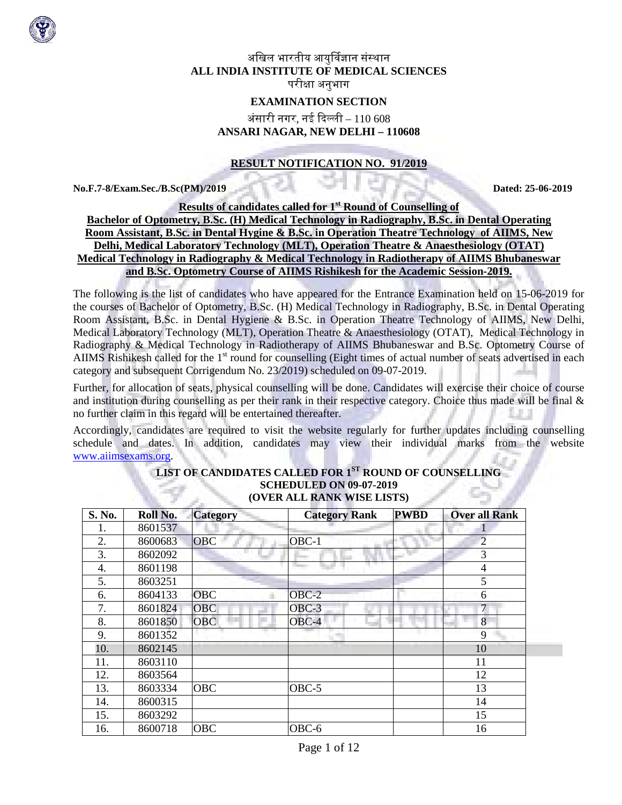

# अखिल भारतीय आयुर्विज्ञान संस्थान **ALL INDIA INSTITUTE OF MEDICAL SCIENCES** परीक्षा अनुभाग

# **EXAMINATION SECTION**

# अंसारी नगर, नई �दल्ली – 110 608 **ANSARI NAGAR, NEW DELHI – 110608**

### **RESULT NOTIFICATION NO. 91/2019**

**No.F.7-8/Exam.Sec./B.Sc(PM)/2019 Dated: 25-06-2019**

**Results of candidates called for 1st Round of Counselling of Bachelor of Optometry, B.Sc. (H) Medical Technology in Radiography, B.Sc. in Dental Operating Room Assistant, B.Sc. in Dental Hygine & B.Sc. in Operation Theatre Technology of AIIMS, New Delhi, Medical Laboratory Technology (MLT), Operation Theatre & Anaesthesiology (OTAT) Medical Technology in Radiography & Medical Technology in Radiotherapy of AIIMS Bhubaneswar and B.Sc. Optometry Course of AIIMS Rishikesh for the Academic Session-2019.**

The following is the list of candidates who have appeared for the Entrance Examination held on 15-06-2019 for the courses of Bachelor of Optometry, B.Sc. (H) Medical Technology in Radiography, B.Sc. in Dental Operating Room Assistant, B.Sc. in Dental Hygiene & B.Sc. in Operation Theatre Technology of AIIMS, New Delhi, Medical Laboratory Technology (MLT), Operation Theatre & Anaesthesiology (OTAT), Medical Technology in Radiography & Medical Technology in Radiotherapy of AIIMS Bhubaneswar and B.Sc. Optometry Course of AIIMS Rishikesh called for the 1<sup>st</sup> round for counselling (Eight times of actual number of seats advertised in each category and subsequent Corrigendum No. 23/2019) scheduled on 09-07-2019.

Further, for allocation of seats, physical counselling will be done. Candidates will exercise their choice of course and institution during counselling as per their rank in their respective category. Choice thus made will be final  $\&$ no further claim in this regard will be entertained thereafter.

Accordingly, candidates are required to visit the website regularly for further updates including counselling schedule and dates. In addition, candidates may view their individual marks from the website [www.aiimsexams.org.](http://www.aiimsexams.org/)

| S. No. | Roll No. | <b>Category</b> | <b>Category Rank</b> | <b>PWBD</b> | <b>Over all Rank</b> |
|--------|----------|-----------------|----------------------|-------------|----------------------|
| ı.     | 8601537  |                 |                      |             |                      |
| 2.     | 8600683  | <b>OBC</b>      | $OBC-1$              |             | $\overline{2}$       |
| 3.     | 8602092  |                 |                      |             | 3                    |
| 4.     | 8601198  |                 |                      |             | $\overline{4}$       |
| 5.     | 8603251  |                 |                      |             | 5                    |
| 6.     | 8604133  | <b>OBC</b>      | $OBC-2$              |             | 6                    |
| 7.     | 8601824  | <b>OBC</b>      | OBC-3                |             | 7                    |
| 8.     | 8601850  | <b>OBC</b>      | $OBC-4$              |             | 8                    |
| 9.     | 8601352  |                 |                      |             | 9                    |
| 10.    | 8602145  |                 |                      |             | 10                   |
| 11.    | 8603110  |                 |                      |             | 11                   |
| 12.    | 8603564  |                 |                      |             | 12                   |
| 13.    | 8603334  | <b>OBC</b>      | $OBC-5$              |             | 13                   |
| 14.    | 8600315  |                 |                      |             | 14                   |
| 15.    | 8603292  |                 |                      |             | 15                   |
| 16.    | 8600718  | <b>OBC</b>      | OBC-6                |             | 16                   |

### **LIST OF CANDIDATES CALLED FOR 1ST ROUND OF COUNSELLING SCHEDULED ON 09-07-2019 (OVER ALL RANK WISE LISTS)**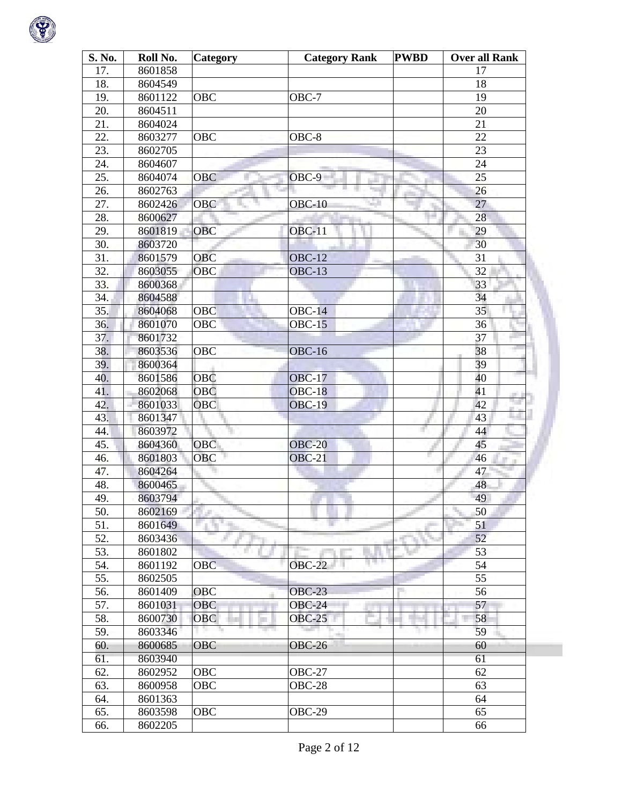

| S. No. | Roll No. | Category   | <b>Category Rank</b> | <b>PWBD</b> | <b>Over all Rank</b> |  |
|--------|----------|------------|----------------------|-------------|----------------------|--|
| 17.    | 8601858  |            |                      |             | 17                   |  |
| 18.    | 8604549  |            |                      |             | 18                   |  |
| 19.    | 8601122  | OBC        | OBC-7                |             | 19                   |  |
| 20.    | 8604511  |            |                      |             | 20                   |  |
| 21.    | 8604024  |            |                      |             | 21                   |  |
| 22.    | 8603277  | <b>OBC</b> | $OBC-8$              |             | 22                   |  |
| 23.    | 8602705  |            |                      |             | 23                   |  |
| 24.    | 8604607  |            |                      |             | 24                   |  |
| 25.    | 8604074  | OBC        | OBC-9                |             | 25                   |  |
| 26.    | 8602763  |            |                      |             | 26                   |  |
| 27.    | 8602426  | OBC        | $OBC-10$             |             | 27                   |  |
| 28.    | 8600627  |            |                      |             | 28                   |  |
| 29.    | 8601819  | <b>OBC</b> | <b>OBC-11</b>        |             | 29                   |  |
| 30.    | 8603720  |            |                      |             | 30                   |  |
| 31.    | 8601579  | <b>OBC</b> | <b>OBC-12</b>        |             | 31                   |  |
| 32.    | 8603055  | OBC        | $OBC-13$             |             | 32                   |  |
| 33.    | 8600368  |            |                      |             | 33                   |  |
| 34.    | 8604588  |            |                      |             | 34                   |  |
| 35.    | 8604068  | OBC        | $OBC-14$             |             | 35                   |  |
| 36.    | 8601070  | <b>OBC</b> | $OBC-15$             |             | 36                   |  |
| 37.    | 8601732  |            |                      |             | 37                   |  |
| 38.    | 8603536  | OBC        | $OBC-16$             |             | 38                   |  |
| 39.    | 8600364  |            |                      |             | 39                   |  |
| 40.    | 8601586  | OBC        | <b>OBC-17</b>        |             | 40                   |  |
| 41.    | 8602068  | <b>OBC</b> | <b>OBC-18</b>        |             | 41<br>m.             |  |
| 42.    | 8601033  | OBC        | <b>OBC-19</b>        |             | 42                   |  |
| 43.    | 8601347  |            |                      |             | 43                   |  |
| 44.    | 8603972  |            |                      |             | 44                   |  |
| 45.    | 8604360  | <b>OBC</b> | <b>OBC-20</b>        |             | 45                   |  |
| 46.    | 8601803  | <b>OBC</b> | $OBC-21$             | ۳           | 46                   |  |
| 47.    | 8604264  |            |                      |             | 47                   |  |
| 48.    | 8600465  |            |                      |             | 48                   |  |
| 49.    | 8603794  |            |                      |             | 49                   |  |
| 50.    | 8602169  |            |                      |             | 50                   |  |
| 51.    | 8601649  |            |                      |             | 51                   |  |
| 52.    | 8603436  |            |                      |             | 52                   |  |
| 53.    | 8601802  |            |                      |             | 53                   |  |
| 54.    | 8601192  | <b>OBC</b> | <b>OBC-22</b>        |             | 54                   |  |
| 55.    | 8602505  |            |                      |             | 55                   |  |
| 56.    | 8601409  | OBC        | <b>OBC-23</b>        |             | 56                   |  |
| 57.    | 8601031  | OBC        | <b>OBC-24</b>        |             | 57                   |  |
| 58.    | 8600730  | <b>OBC</b> | <b>OBC-25</b>        |             | 58                   |  |
| 59.    | 8603346  |            |                      |             | 59                   |  |
| 60.    | 8600685  | OBC        | <b>OBC-26</b>        |             | 60                   |  |
| 61.    | 8603940  |            |                      |             | 61                   |  |
| 62.    | 8602952  | OBC        | <b>OBC-27</b>        |             | 62                   |  |
| 63.    | 8600958  | OBC        | <b>OBC-28</b>        |             | 63                   |  |
| 64.    | 8601363  |            |                      |             | 64                   |  |
| 65.    | 8603598  | <b>OBC</b> | OBC-29               |             | 65                   |  |
| 66.    | 8602205  |            |                      |             | 66                   |  |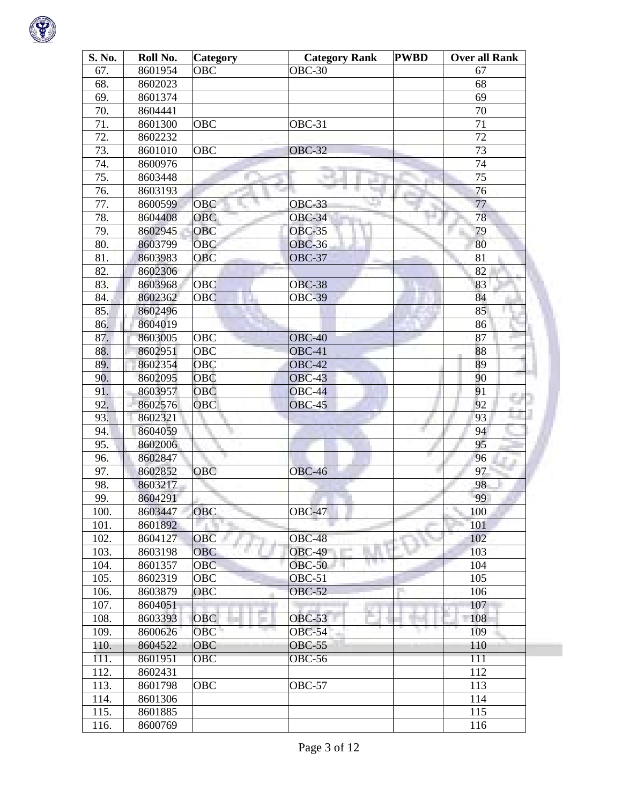

| S. No. | Roll No. | Category   | <b>Category Rank</b> | <b>PWBD</b> | <b>Over all Rank</b> |
|--------|----------|------------|----------------------|-------------|----------------------|
| 67.    | 8601954  | OBC        | <b>OBC-30</b>        |             | 67                   |
| 68.    | 8602023  |            |                      |             | 68                   |
| 69.    | 8601374  |            |                      |             | 69                   |
| 70.    | 8604441  |            |                      |             | 70                   |
| 71.    | 8601300  | <b>OBC</b> | OBC-31               |             | 71                   |
| 72.    | 8602232  |            |                      |             | 72                   |
| 73.    | 8601010  | OBC        | <b>OBC-32</b>        |             | 73                   |
| 74.    | 8600976  |            |                      |             | 74                   |
| 75.    | 8603448  |            |                      |             | 75                   |
| 76.    | 8603193  |            |                      |             | 76                   |
| 77.    | 8600599  | OBC        | <b>OBC-33</b>        |             | 77                   |
| 78.    | 8604408  | <b>OBC</b> | <b>OBC-34</b>        |             | 78                   |
| 79.    | 8602945  | <b>OBC</b> | <b>OBC-35</b>        |             | 79                   |
| 80.    | 8603799  | <b>OBC</b> | <b>OBC-36</b>        |             | 80                   |
| 81.    | 8603983  | <b>OBC</b> | <b>OBC-37</b>        |             | 81                   |
| 82.    | 8602306  |            |                      |             | 82                   |
| 83.    | 8603968  | <b>OBC</b> | <b>OBC-38</b>        |             | 83                   |
| 84.    | 8602362  | <b>OBC</b> | <b>OBC-39</b>        |             | 84                   |
| 85.    | 8602496  |            |                      |             | 85                   |
| 86.    | 8604019  |            |                      |             | 86                   |
| 87.    | 8603005  | <b>OBC</b> | <b>OBC-40</b>        |             | 87                   |
| 88.    | 8602951  | <b>OBC</b> | OBC-41               |             | 88                   |
| 89.    | 8602354  | <b>OBC</b> | <b>OBC-42</b>        |             | 89                   |
| 90.    | 8602095  | <b>OBC</b> | <b>OBC-43</b>        |             | 90                   |
| 91.    | 8603957  | OBC        | <b>OBC-44</b>        |             | 91<br>an i           |
| 92.    | 8602576  | <b>OBC</b> | <b>OBC-45</b>        |             | n.<br>92             |
| 93.    | 8602321  |            |                      |             | 93                   |
| 94.    | 8604059  |            |                      |             | 94                   |
| 95.    | 8602006  |            |                      |             | 95                   |
| 96.    | 8602847  |            |                      |             | 96                   |
| 97.    | 8602852  | <b>OBC</b> | <b>OBC-46</b>        |             | 97                   |
| 98.    | 8603217  |            |                      |             | 98                   |
| 99.    | 8604291  |            |                      |             | 99                   |
| 100.   | 8603447  | <b>OBC</b> | <b>OBC-47</b>        |             | 100                  |
| 101.   | 8601892  |            |                      |             | 101                  |
| 102.   | 8604127  | <b>OBC</b> | <b>OBC-48</b>        |             | 102                  |
| 103.   | 8603198  | <b>OBC</b> | <b>OBC-49</b>        |             | 103                  |
| 104.   | 8601357  | <b>OBC</b> | <b>OBC-50</b>        |             | 104                  |
| 105.   | 8602319  | <b>OBC</b> | OBC-51               |             | 105                  |
| 106.   | 8603879  | OBC        | <b>OBC-52</b>        |             | 106                  |
| 107.   | 8604051  |            |                      |             | 107                  |
| 108.   | 8603393  | <b>OBC</b> | <b>OBC-53</b>        |             | 108                  |
| 109.   | 8600626  | OBC        | <b>OBC-54</b>        |             | 109                  |
| 110.   | 8604522  | OBC        | <b>OBC-55</b>        |             | 110                  |
| 111.   | 8601951  | OBC        | OBC-56               |             | 111                  |
| 112.   | 8602431  |            |                      |             | 112                  |
| 113.   | 8601798  | <b>OBC</b> | OBC-57               |             | 113                  |
| 114.   | 8601306  |            |                      |             | 114                  |
| 115.   | 8601885  |            |                      |             | 115                  |
| 116.   | 8600769  |            |                      |             | 116                  |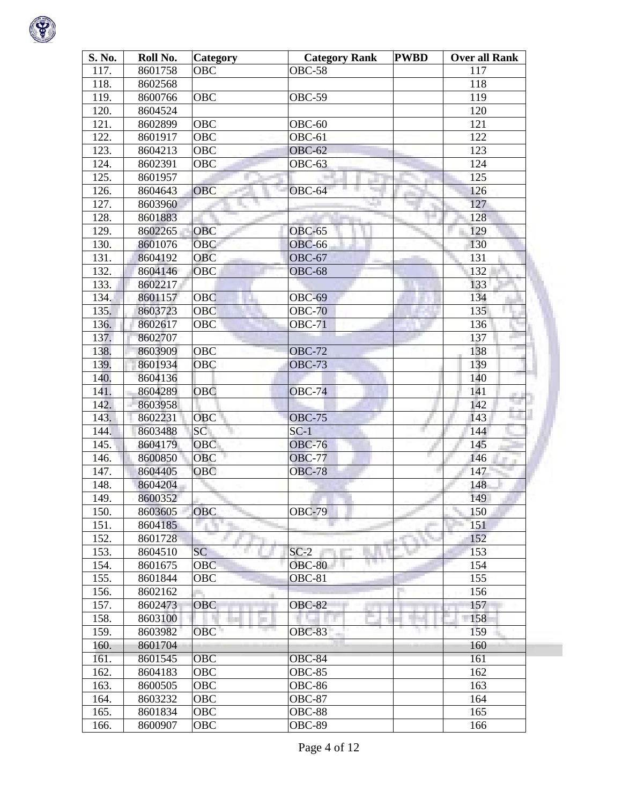

| S. No. | Roll No. | <b>Category</b> | <b>Category Rank</b> | <b>PWBD</b> | <b>Over all Rank</b> |
|--------|----------|-----------------|----------------------|-------------|----------------------|
| 117.   | 8601758  | OBC             | <b>OBC-58</b>        |             | 117                  |
| 118.   | 8602568  |                 |                      |             | 118                  |
| 119.   | 8600766  | OBC             | <b>OBC-59</b>        |             | 119                  |
| 120.   | 8604524  |                 |                      |             | 120                  |
| 121.   | 8602899  | OBC             | OBC-60               |             | 121                  |
| 122.   | 8601917  | OBC             | $OBC-61$             |             | 122                  |
| 123.   | 8604213  | <b>OBC</b>      | <b>OBC-62</b>        |             | 123                  |
| 124.   | 8602391  | OBC             | <b>OBC-63</b>        |             | 124                  |
| 125.   | 8601957  |                 |                      |             | 125                  |
| 126.   | 8604643  | <b>OBC</b>      | OBC-64               |             | 126                  |
| 127.   | 8603960  |                 |                      |             | 127                  |
| 128.   | 8601883  |                 |                      |             | 128                  |
| 129.   | 8602265  | OBC             | <b>OBC-65</b>        |             | 129                  |
| 130.   | 8601076  | OBC             | <b>OBC-66</b>        |             | 130                  |
| 131.   | 8604192  | <b>OBC</b>      | <b>OBC-67</b>        |             | 131                  |
| 132.   | 8604146  | OBC             | <b>OBC-68</b>        |             | 132                  |
| 133.   | 8602217  |                 |                      |             | 133                  |
| 134.   | 8601157  | OBC             | <b>OBC-69</b>        |             | 134                  |
| 135.   | 8603723  | OBC             | <b>OBC-70</b>        |             | 135                  |
| 136.   | 8602617  | <b>OBC</b>      | <b>OBC-71</b>        |             | 136                  |
| 137.   | 8602707  |                 |                      |             | 137                  |
| 138.   | 8603909  | <b>OBC</b>      | <b>OBC-72</b>        |             | 138                  |
| 139.   | 8601934  | <b>OBC</b>      | <b>OBC-73</b>        |             | 139                  |
| 140.   | 8604136  |                 |                      |             | 140                  |
| 141.   | 8604289  | <b>OBC</b>      | <b>OBC-74</b>        |             | 141<br>m.            |
| 142.   | 8603958  |                 |                      |             | 142                  |
| 143.   | 8602231  | <b>OBC</b>      | <b>OBC-75</b>        |             | 143                  |
| 144.   | 8603488  | SC              | $SC-1$               |             | 144                  |
| 145.   | 8604179  | OBC             | <b>OBC-76</b>        |             | 145                  |
| 146.   | 8600850  | <b>OBC</b>      | <b>OBC-77</b>        |             | 146                  |
| 147.   | 8604405  | OBC             | <b>OBC-78</b>        |             | 147                  |
| 148.   | 8604204  |                 |                      |             | 148                  |
| 149.   | 8600352  |                 |                      |             | 149                  |
| 150.   | 8603605  | OBC             | <b>OBC-79</b>        |             | 150                  |
| 151.   | 8604185  |                 |                      |             | 151                  |
| 152.   | 8601728  |                 |                      |             | 152                  |
| 153.   | 8604510  | <b>SC</b>       | $SC-2$               |             | 153                  |
| 154.   | 8601675  | <b>OBC</b>      | <b>OBC-80</b>        |             | 154                  |
| 155.   | 8601844  | <b>OBC</b>      | <b>OBC-81</b>        |             | 155                  |
| 156.   | 8602162  |                 |                      |             | 156                  |
| 157.   | 8602473  | <b>OBC</b>      | <b>OBC-82</b>        |             | 157                  |
| 158.   | 8603100  |                 |                      |             | 158                  |
| 159.   | 8603982  | OBC             | <b>OBC-83</b>        |             | 159                  |
| 160.   | 8601704  |                 |                      |             | 160                  |
| 161.   | 8601545  | <b>OBC</b>      | OBC-84               |             | 161                  |
| 162.   | 8604183  | OBC             | <b>OBC-85</b>        |             | 162                  |
| 163.   | 8600505  | <b>OBC</b>      | <b>OBC-86</b>        |             | 163                  |
| 164.   | 8603232  | OBC             | <b>OBC-87</b>        |             | 164                  |
| 165.   | 8601834  | OBC             | <b>OBC-88</b>        |             | 165                  |
| 166.   | 8600907  | OBC             | <b>OBC-89</b>        |             | 166                  |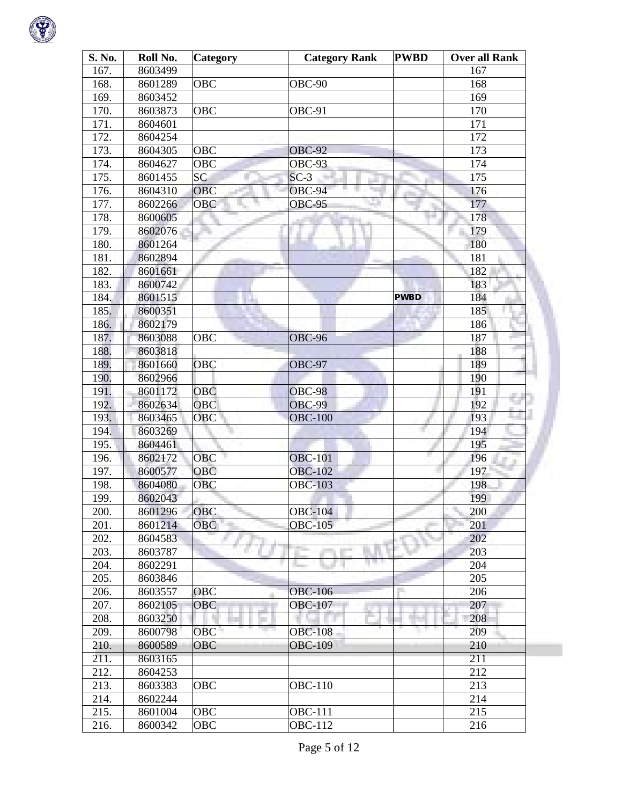

| S. No. | Roll No. | Category   | <b>Category Rank</b> | <b>PWBD</b> | <b>Over all Rank</b> |
|--------|----------|------------|----------------------|-------------|----------------------|
| 167.   | 8603499  |            |                      |             | 167                  |
| 168.   | 8601289  | OBC        | OBC-90               |             | 168                  |
| 169.   | 8603452  |            |                      |             | 169                  |
| 170.   | 8603873  | OBC        | OBC-91               |             | 170                  |
| 171.   | 8604601  |            |                      |             | 171                  |
| 172.   | 8604254  |            |                      |             | 172                  |
| 173.   | 8604305  | OBC        | <b>OBC-92</b>        |             | 173                  |
| 174.   | 8604627  | OBC        | OBC-93               |             | 174                  |
| 175.   | 8601455  | <b>SC</b>  | $SC-3$               |             | 175                  |
| 176.   | 8604310  | <b>OBC</b> | OBC-94               |             | 176                  |
| 177.   | 8602266  | OBC        | <b>OBC-95</b>        |             | 177                  |
| 178.   | 8600605  |            |                      |             | 178                  |
| 179.   | 8602076  |            |                      |             | 179                  |
| 180.   | 8601264  |            |                      |             | 180                  |
| 181.   | 8602894  |            |                      |             | 181                  |
| 182.   | 8601661  |            |                      |             | 182                  |
| 183.   | 8600742  |            |                      |             | 183                  |
| 184.   | 8601515  |            |                      | <b>PWBD</b> | 184                  |
| 185.   | 8600351  |            |                      |             | 185                  |
| 186.   | 8602179  |            |                      |             | 186                  |
| 187.   | 8603088  | OBC        | <b>OBC-96</b>        |             | 187                  |
| 188.   | 8603818  |            |                      |             | 188                  |
| 189.   | 8601660  | <b>OBC</b> | OBC-97               |             | 189                  |
| 190.   | 8602966  |            |                      |             | 190                  |
| 191.   | 8601172  | <b>OBC</b> | <b>OBC-98</b>        |             | 191                  |
| 192.   | 8602634  | <b>OBC</b> | <b>OBC-99</b>        |             | u.<br>192            |
| 193.   | 8603465  | <b>OBC</b> | <b>OBC-100</b>       |             | 193                  |
| 194.   | 8603269  |            |                      |             | 194                  |
| 195.   | 8604461  |            |                      |             | 195                  |
| 196.   | 8602172  | <b>OBC</b> | <b>OBC-101</b>       |             | 196                  |
| 197.   | 8600577  | <b>OBC</b> | <b>OBC-102</b>       |             | 197                  |
| 198.   | 8604080  | <b>OBC</b> | <b>OBC-103</b>       |             | 198                  |
| 199.   | 8602043  |            |                      |             | 199                  |
| 200.   | 8601296  | <b>OBC</b> | <b>OBC-104</b>       |             | 200                  |
| 201.   | 8601214  | OBC        | <b>OBC-105</b>       |             | 201                  |
| 202.   | 8604583  |            |                      |             | 202                  |
| 203.   | 8603787  |            |                      |             | 203                  |
| 204.   | 8602291  |            |                      |             | 204                  |
| 205.   | 8603846  |            |                      |             | 205                  |
| 206.   | 8603557  | <b>OBC</b> | <b>OBC-106</b>       |             | 206                  |
| 207.   | 8602105  | <b>OBC</b> | <b>OBC-107</b>       |             | 207                  |
| 208.   | 8603250  |            |                      |             | 208                  |
| 209.   | 8600798  | OBC        | <b>OBC-108</b>       |             | 209                  |
| 210.   | 8600589  | <b>OBC</b> | <b>OBC-109</b>       |             | 210                  |
| 211.   | 8603165  |            |                      |             | 211                  |
| 212.   | 8604253  |            |                      |             | 212                  |
| 213.   | 8603383  | OBC        | <b>OBC-110</b>       |             | 213                  |
| 214.   | 8602244  |            |                      |             | 214                  |
| 215.   | 8601004  | OBC        | <b>OBC-111</b>       |             | 215                  |
| 216.   | 8600342  | OBC        | <b>OBC-112</b>       |             | 216                  |
|        |          |            |                      |             |                      |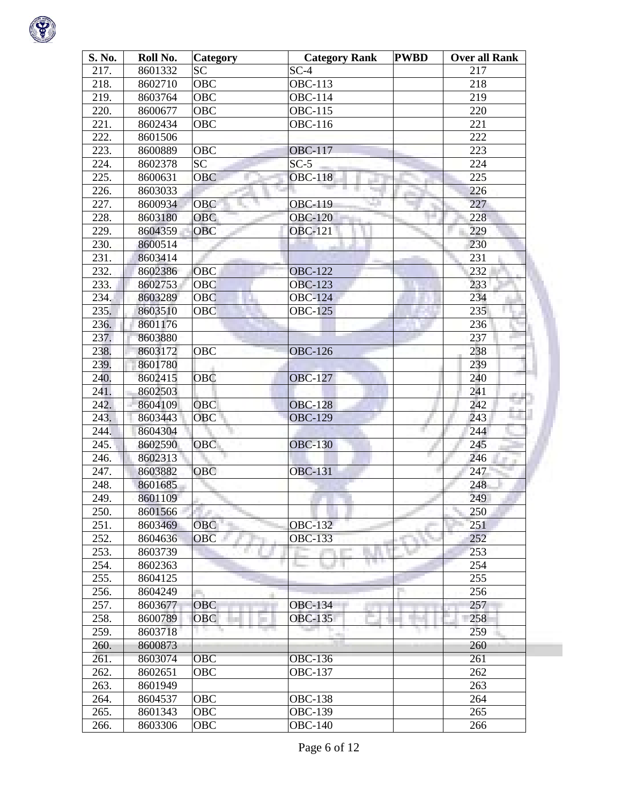

| S. No. | Roll No. | <b>Category</b> | <b>Category Rank</b> | <b>PWBD</b> | <b>Over all Rank</b> |
|--------|----------|-----------------|----------------------|-------------|----------------------|
| 217.   | 8601332  | <b>SC</b>       | $SC-4$               |             | 217                  |
| 218.   | 8602710  | <b>OBC</b>      | <b>OBC-113</b>       |             | 218                  |
| 219.   | 8603764  | <b>OBC</b>      | <b>OBC-114</b>       |             | 219                  |
| 220.   | 8600677  | <b>OBC</b>      | <b>OBC-115</b>       |             | 220                  |
| 221.   | 8602434  | OBC             | <b>OBC-116</b>       |             | 221                  |
| 222.   | 8601506  |                 |                      |             | 222                  |
| 223.   | 8600889  | <b>OBC</b>      | <b>OBC-117</b>       |             | 223                  |
| 224.   | 8602378  | <b>SC</b>       | $SC-5$               |             | 224                  |
| 225.   | 8600631  | <b>OBC</b>      | <b>OBC-118</b>       |             | 225                  |
| 226.   | 8603033  |                 |                      |             | 226                  |
| 227.   | 8600934  | <b>OBC</b>      | a.<br>OBC-119        |             | 227                  |
| 228.   | 8603180  | <b>OBC</b>      | <b>OBC-120</b>       |             | 228                  |
| 229.   | 8604359  | <b>OBC</b>      | <b>OBC-121</b>       |             | 229                  |
| 230.   | 8600514  |                 |                      |             | 230                  |
| 231.   | 8603414  |                 |                      |             | 231                  |
| 232.   | 8602386  | <b>OBC</b>      | <b>OBC-122</b>       |             | 232                  |
| 233.   | 8602753  | <b>OBC</b>      | <b>OBC-123</b>       |             | 233                  |
| 234.   | 8603289  | <b>OBC</b>      | <b>OBC-124</b>       |             | 234                  |
| 235.   | 8603510  | <b>OBC</b>      | <b>OBC-125</b>       |             | 235                  |
| 236.   | 8601176  |                 |                      |             | 236                  |
| 237.   | 8603880  |                 |                      |             | 237                  |
| 238.   | 8603172  | <b>OBC</b>      | <b>OBC-126</b>       |             | 238                  |
| 239.   | 8601780  |                 |                      |             | 239                  |
| 240.   | 8602415  | <b>OBC</b>      | <b>OBC-127</b>       |             | 240                  |
| 241.   | 8602503  |                 |                      |             | 241                  |
| 242.   | 8604109  | <b>OBC</b>      | <b>OBC-128</b>       |             | m.<br>n e<br>242     |
| 243.   | 8603443  | <b>OBC</b>      | <b>OBC-129</b>       |             | 243                  |
| 244.   | 8604304  |                 |                      |             | 244                  |
| 245.   | 8602590  | <b>OBC</b>      | <b>OBC-130</b>       |             | 245                  |
| 246.   | 8602313  |                 |                      |             | 246                  |
| 247.   | 8603882  | <b>OBC</b>      | <b>OBC-131</b>       |             | 247                  |
| 248.   | 8601685  |                 |                      |             | 248                  |
| 249.   | 8601109  |                 |                      |             | 249                  |
| 250.   | 8601566  |                 |                      |             | 250                  |
| 251.   | 8603469  | OBC             | <b>OBC-132</b>       |             | 251                  |
| 252.   | 8604636  | <b>OBC</b>      | <b>OBC-133</b>       |             | 252                  |
| 253.   | 8603739  |                 |                      |             | 253                  |
| 254.   | 8602363  |                 |                      |             | 254                  |
| 255.   | 8604125  |                 |                      |             | 255                  |
| 256.   | 8604249  |                 |                      |             | 256                  |
| 257.   | 8603677  | <b>OBC</b>      | <b>OBC-134</b>       |             | 257                  |
| 258.   | 8600789  | <b>OBC</b>      | <b>OBC-135</b>       |             | 258                  |
| 259.   | 8603718  |                 |                      |             | 259                  |
| 260.   | 8600873  |                 |                      |             | 260                  |
| 261.   | 8603074  | <b>OBC</b>      | OBC-13 $6$           |             | 261                  |
| 262.   | 8602651  | <b>OBC</b>      | <b>OBC-137</b>       |             | 262                  |
| 263.   | 8601949  |                 |                      |             | 263                  |
| 264.   |          | <b>OBC</b>      | <b>OBC-138</b>       |             | 264                  |
|        | 8604537  | <b>OBC</b>      |                      |             | 265                  |
| 265.   | 8601343  |                 | <b>OBC-139</b>       |             |                      |
| 266.   | 8603306  | OBC             | <b>OBC-140</b>       |             | 266                  |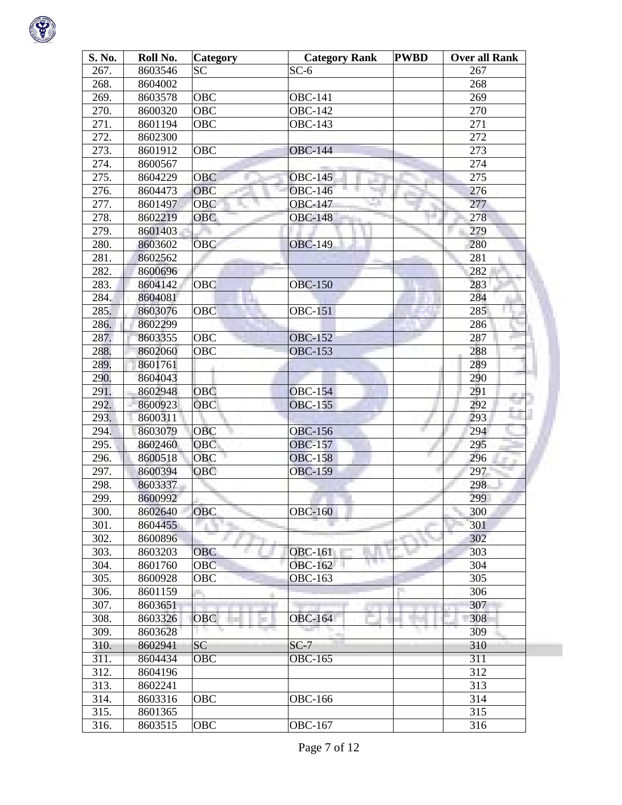

| S. No. | Roll No. | <b>Category</b> | <b>Category Rank</b> | <b>PWBD</b> | <b>Over all Rank</b> |
|--------|----------|-----------------|----------------------|-------------|----------------------|
| 267.   | 8603546  | <b>SC</b>       | $SC-6$               |             | 267                  |
| 268.   | 8604002  |                 |                      |             | 268                  |
| 269.   | 8603578  | OBC             | <b>OBC-141</b>       |             | 269                  |
| 270.   | 8600320  | OBC             | <b>OBC-142</b>       |             | 270                  |
| 271.   | 8601194  | OBC             | <b>OBC-143</b>       |             | 271                  |
| 272.   | 8602300  |                 |                      |             | 272                  |
| 273.   | 8601912  | OBC             | <b>OBC-144</b>       |             | 273                  |
| 274.   | 8600567  |                 |                      |             | 274                  |
| 275.   | 8604229  | <b>OBC</b>      | <b>OBC-145</b>       |             | 275                  |
| 276.   | 8604473  | <b>OBC</b>      | <b>OBC-146</b>       |             | 276                  |
| 277.   | 8601497  | <b>OBC</b>      | <b>OBC-147</b>       |             | 277                  |
| 278.   | 8602219  | <b>OBC</b>      | <b>OBC-148</b>       |             | 278                  |
| 279.   | 8601403  |                 |                      |             | 279                  |
| 280.   | 8603602  | <b>OBC</b>      | <b>OBC-149</b>       |             | 280                  |
| 281.   | 8602562  |                 |                      |             | 281                  |
| 282.   | 8600696  |                 |                      |             | 282                  |
| 283.   | 8604142  | <b>OBC</b>      | <b>OBC-150</b>       |             | 283                  |
| 284.   | 8604081  |                 |                      |             | 284                  |
| 285.   | 8603076  | <b>OBC</b>      | <b>OBC-151</b>       |             | 285                  |
| 286.   | 8602299  |                 |                      |             | 286                  |
| 287.   | 8603355  | <b>OBC</b>      | <b>OBC-152</b>       |             | 287                  |
| 288.   | 8602060  | <b>OBC</b>      | <b>OBC-153</b>       |             | 288                  |
| 289.   | 8601761  |                 |                      |             | 289                  |
| 290.   | 8604043  |                 |                      |             | 290                  |
| 291.   | 8602948  | <b>OBC</b>      | <b>OBC-154</b>       |             | 291                  |
| 292.   | 8600923  | <b>OBC</b>      | <b>OBC-155</b>       |             | 292                  |
| 293.   | 8600311  |                 |                      |             | 293                  |
| 294.   | 8603079  | <b>OBC</b>      | <b>OBC-156</b>       |             | 294                  |
| 295.   | 8602460  | OBC             | <b>OBC-157</b>       |             | 295                  |
| 296.   | 8600518  | <b>OBC</b>      | <b>OBC-158</b>       |             | 296                  |
| 297.   | 8600394  | <b>OBC</b>      | <b>OBC-159</b>       |             | 297                  |
| 298.   | 8603337  |                 |                      |             | 298                  |
| 299.   | 8600992  |                 |                      |             | 299                  |
| 300.   | 8602640  | <b>OBC</b>      | <b>OBC-160</b>       |             | 300                  |
| 301.   | 8604455  |                 |                      |             | 301                  |
| 302.   | 8600896  |                 |                      |             | 302                  |
| 303.   | 8603203  | <b>OBC</b>      | <b>OBC-161</b>       |             | 303                  |
| 304.   | 8601760  | <b>OBC</b>      | <b>OBC-162</b>       |             | 304                  |
| 305.   | 8600928  | <b>OBC</b>      | <b>OBC-163</b>       |             | 305                  |
| 306.   | 8601159  |                 |                      |             | 306                  |
| 307.   | 8603651  |                 |                      |             | 307                  |
| 308.   | 8603326  | <b>OBC</b>      | <b>OBC-164</b>       |             | 308                  |
| 309.   | 8603628  |                 |                      |             | 309                  |
| 310.   | 8602941  | <b>SC</b>       | $SC-7$               |             | 310                  |
| 311.   | 8604434  | <b>OBC</b>      | <b>OBC-165</b>       |             | 311                  |
| 312.   | 8604196  |                 |                      |             | 312                  |
| 313.   | 8602241  |                 |                      |             | 313                  |
| 314.   | 8603316  | OBC             | <b>OBC-166</b>       |             | 314                  |
| 315.   | 8601365  |                 |                      |             | 315                  |
| 316.   | 8603515  | <b>OBC</b>      | <b>OBC-167</b>       |             | $\overline{3}16$     |
|        |          |                 |                      |             |                      |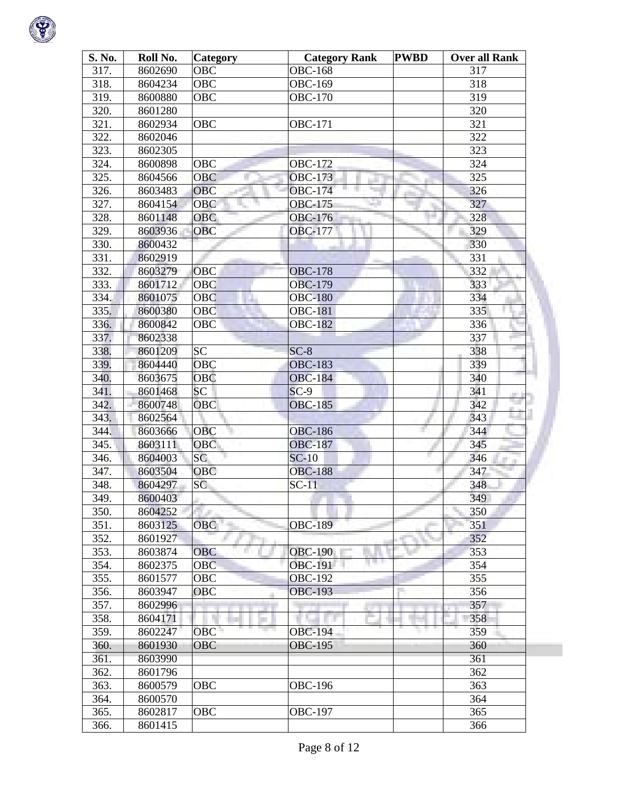

| S. No. | Roll No. | <b>Category</b> | <b>Category Rank</b> | <b>PWBD</b> | <b>Over all Rank</b> |
|--------|----------|-----------------|----------------------|-------------|----------------------|
| 317.   | 8602690  | <b>OBC</b>      | <b>OBC-168</b>       |             | 317                  |
| 318.   | 8604234  | OBC             | <b>OBC-169</b>       |             | 318                  |
| 319.   | 8600880  | <b>OBC</b>      | <b>OBC-170</b>       |             | 319                  |
| 320.   | 8601280  |                 |                      |             | 320                  |
| 321.   | 8602934  | <b>OBC</b>      | <b>OBC-171</b>       |             | 321                  |
| 322.   | 8602046  |                 |                      |             | 322                  |
| 323.   | 8602305  |                 |                      |             | 323                  |
| 324.   | 8600898  | OBC             | <b>OBC-172</b>       |             | 324                  |
| 325.   | 8604566  | <b>OBC</b>      | <b>OBC-173</b>       |             | 325                  |
| 326.   | 8603483  | <b>OBC</b>      | OBC-174<br>- 11      |             | 326                  |
| 327.   | 8604154  | <b>OBC</b>      | a.<br><b>OBC-175</b> |             | 327                  |
| 328.   | 8601148  | OBC             | OBC-176              |             | 328                  |
| 329.   | 8603936  | <b>OBC</b>      | <b>OBC-177</b>       |             | 329                  |
| 330.   | 8600432  |                 |                      |             | 330                  |
| 331.   | 8602919  |                 |                      |             | 331                  |
| 332.   | 8603279  | <b>OBC</b>      | <b>OBC-178</b>       |             | 332                  |
| 333.   | 8601712  | <b>OBC</b>      | <b>OBC-179</b>       |             | 333                  |
| 334.   | 8601075  | <b>OBC</b>      | <b>OBC-180</b>       |             | 334                  |
| 335.   | 8600380  | <b>OBC</b>      | <b>OBC-181</b>       |             | 335                  |
| 336.   | 8600842  | <b>OBC</b>      | <b>OBC-182</b>       |             | 336                  |
| 337.   | 8602338  |                 |                      |             | 337                  |
| 338.   | 8601209  | <b>SC</b>       | $SC-8$               |             | 338                  |
| 339.   | 8604440  | <b>OBC</b>      | <b>OBC-183</b>       |             | 339                  |
| 340.   | 8603675  | <b>OBC</b>      | <b>OBC-184</b>       |             | 340                  |
| 341.   | 8601468  | <b>SC</b>       | $SC-9$               |             | 341                  |
| 342.   | 8600748  | <b>OBC</b>      | <b>OBC-185</b>       |             | 342                  |
| 343.   | 8602564  |                 |                      |             | 343                  |
| 344.   | 8603666  | <b>OBC</b>      | <b>OBC-186</b>       | ×.          | 344                  |
| 345.   | 8603111  | OBC             | <b>OBC-187</b>       |             | 345                  |
| 346.   | 8604003  | <b>SC</b>       | $SC-10$              |             | 346                  |
| 347.   | 8603504  | <b>OBC</b>      | <b>OBC-188</b>       |             | 347                  |
| 348.   | 8604297  | SC              | $SC-11$              |             | 348                  |
| 349.   | 8600403  |                 |                      |             | 349                  |
| 350.   | 8604252  |                 |                      |             | 350                  |
| 351.   | 8603125  | <b>OBC</b>      | <b>OBC-189</b>       |             | 351                  |
| 352.   | 8601927  |                 |                      |             | 352                  |
| 353.   | 8603874  | <b>OBC</b>      | <b>OBC-190</b>       |             | 353                  |
| 354.   | 8602375  | <b>OBC</b>      | <b>OBC-191</b>       |             | 354                  |
| 355.   | 8601577  | OBC             | <b>OBC-192</b>       |             | 355                  |
| 356.   | 8603947  | OBC             | <b>OBC-193</b>       |             | 356                  |
| 357.   | 8602996  |                 |                      |             | 357                  |
| 358.   | 8604171  |                 |                      |             | 358                  |
| 359.   | 8602247  | OBC             | <b>OBC-194</b>       |             | 359                  |
| 360.   | 8601930  | <b>OBC</b>      | <b>OBC-195</b>       |             | 360                  |
| 361.   | 8603990  |                 |                      |             | 361                  |
| 362.   | 8601796  |                 |                      |             | 362                  |
| 363.   | 8600579  | OBC             | <b>OBC-196</b>       |             | 363                  |
| 364.   | 8600570  |                 |                      |             | 364                  |
| 365.   | 8602817  | OBC             | <b>OBC-197</b>       |             | 365                  |
| 366.   | 8601415  |                 |                      |             | 366                  |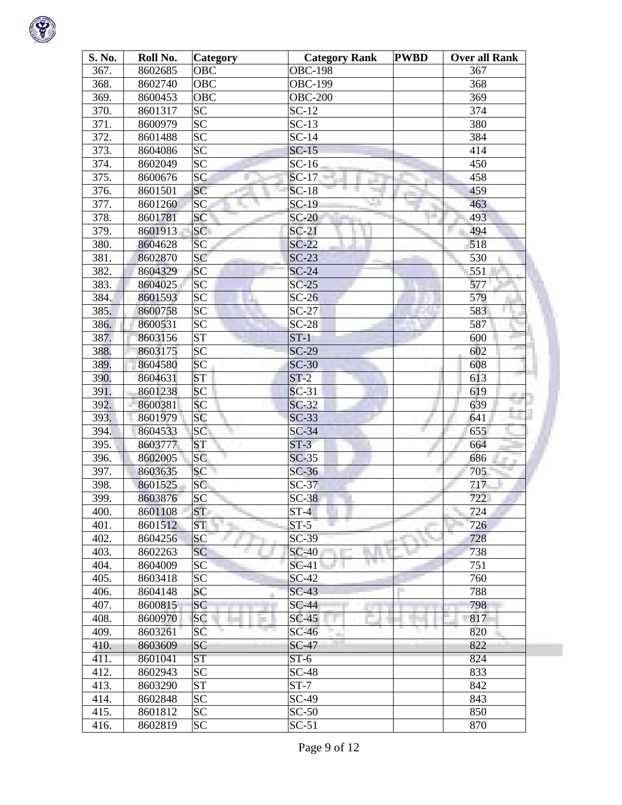

| S. No. | Roll No. | <b>Category</b>        | <b>Category Rank</b> | <b>PWBD</b> | <b>Over all Rank</b> |
|--------|----------|------------------------|----------------------|-------------|----------------------|
| 367.   | 8602685  | <b>OBC</b>             | <b>OBC-198</b>       |             | 367                  |
| 368.   | 8602740  | OBC                    | <b>OBC-199</b>       |             | 368                  |
| 369.   | 8600453  | OBC                    | $OBC-200$            |             | 369                  |
| 370.   | 8601317  | <b>SC</b>              | $SC-12$              |             | 374                  |
| 371.   | 8600979  | <b>SC</b>              | $SC-13$              |             | 380                  |
| 372.   | 8601488  | <b>SC</b>              | $SC-14$              |             | 384                  |
| 373.   | 8604086  | <b>SC</b>              | $SC-15$              |             | 414                  |
| 374.   | 8602049  | <b>SC</b>              | $SC-16$              |             | 450                  |
| 375.   | 8600676  | <b>SC</b>              | $SC-17$              |             | 458                  |
| 376.   | 8601501  | <b>SC</b>              | $SC-18$              |             | 459                  |
| 377.   | 8601260  | SC<br>Ą,               | $SC-19$<br>a m       |             | 463                  |
| 378.   | 8601781  | SC                     | $SC-20$              |             | 493                  |
| 379.   | 8601913  | SC                     | $SC-21$              |             | 494                  |
| 380.   | 8604628  | SC                     | $SC-22$              |             | 518                  |
| 381.   | 8602870  | <b>SC</b>              | $SC-23$              |             | 530                  |
| 382.   | 8604329  | <b>SC</b>              | $SC-24$              |             | 551                  |
| 383.   | 8604025  | SC                     | $SC-25$              |             | 577                  |
| 384.   | 8601593  | <b>SC</b>              | $SC-26$              |             | 579                  |
| 385.   | 8600758  | SC                     | $SC-27$              |             | 583                  |
| 386.   | 8600531  | SC                     | $SC-28$              |             | 587                  |
| 387.   | 8603156  | $\overline{\text{ST}}$ | $ST-1$               |             | 600                  |
| 388.   | 8603175  | <b>SC</b>              | $SC-29$              |             | 602                  |
| 389.   | 8604580  | <b>SC</b>              | $SC-30$              |             | 608                  |
| 390.   | 8604631  | <b>ST</b>              | $ST-2$               |             | 613                  |
| 391.   | 8601238  | <b>SC</b>              | $SC-31$              |             | 619                  |
| 392.   | 8600381  | <b>SC</b>              | $SC-32$              |             | المنابذة<br>639      |
| 393.   | 8601979  | <b>SC</b>              | $SC-33$              |             | 641                  |
| 394.   | 8604533  | SC                     | $SC-34$              | H.          | 655                  |
| 395.   | 8603777  | <b>ST</b>              | $ST-3$               |             | 664                  |
| 396.   | 8602005  | <b>SC</b>              | $SC-35$              |             | 686                  |
| 397.   | 8603635  | <b>SC</b>              | $SC-36$              |             | 705                  |
| 398.   | 8601525  | <b>SC</b>              | $SC-37$              |             | 717                  |
| 399.   | 8603876  | <b>SC</b>              | $SC-38$              |             | 722                  |
| 400.   | 8601108  | <b>ST</b>              | $ST-4$               |             | 724                  |
| 401.   | 8601512  | ST                     | $ST-5$               |             | 726                  |
| 402.   | 8604256  | <b>SC</b>              | $SC-39$              |             | 728                  |
| 403.   | 8602263  | <b>SC</b>              | $SC-40$              |             | 738                  |
| 404.   | 8604009  | SC                     | $SC-41$              |             | 751                  |
| 405.   | 8603418  | <b>SC</b>              | $SC-42$              |             | 760                  |
| 406.   | 8604148  | <b>SC</b>              | $SC-43$              |             | 788                  |
| 407.   | 8600815  | SC                     | $SC-44$              |             | 798                  |
| 408.   | 8600970  | <b>SC</b>              | $SC-45$              |             | 817                  |
| 409.   | 8603261  | SC                     | $SC-46$              |             | 820                  |
| 410.   | 8603609  | SC                     | $SC-47$              |             | 822                  |
| 411.   | 8601041  | <b>ST</b>              | $ST-6$               |             | 824                  |
| 412.   | 8602943  | <b>SC</b>              | $SC-48$              |             | 833                  |
| 413.   | 8603290  | <b>ST</b>              | $ST-7$               |             | 842                  |
| 414.   | 8602848  | <b>SC</b>              | SC-49                |             | 843                  |
| 415.   | 8601812  | <b>SC</b>              | $SC-50$              |             | 850                  |
| 416.   | 8602819  | <b>SC</b>              | $SC-51$              |             | 870                  |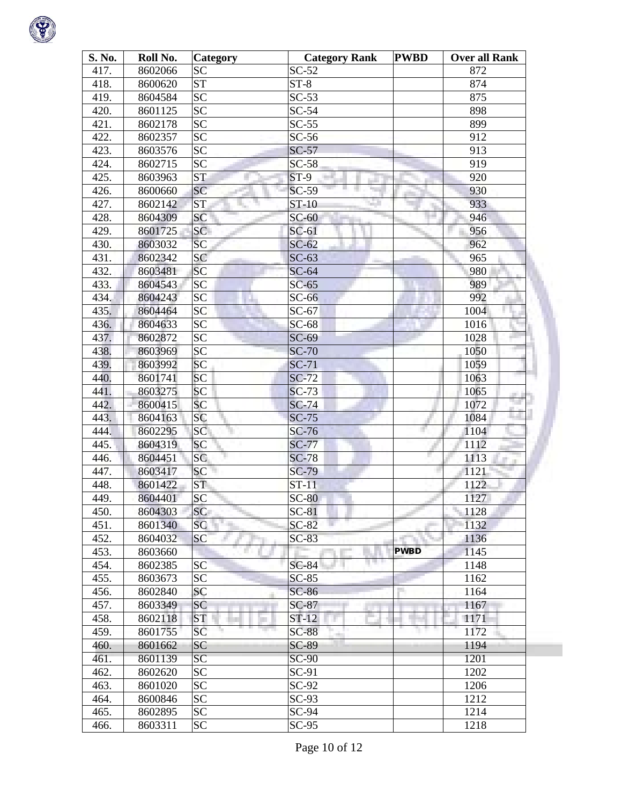

| S. No. | Roll No. | <b>Category</b> | <b>Category Rank</b> | <b>PWBD</b> | <b>Over all Rank</b> |
|--------|----------|-----------------|----------------------|-------------|----------------------|
| 417.   | 8602066  | <b>SC</b>       | $SC-52$              |             | 872                  |
| 418.   | 8600620  | <b>ST</b>       | $ST-8$               |             | 874                  |
| 419.   | 8604584  | $\overline{SC}$ | $SC-53$              |             | 875                  |
| 420.   | 8601125  | <b>SC</b>       | $SC-54$              |             | 898                  |
| 421.   | 8602178  | <b>SC</b>       | $SC-55$              |             | 899                  |
| 422.   | 8602357  | <b>SC</b>       | $SC-56$              |             | 912                  |
| 423.   | 8603576  | <b>SC</b>       | $SC-57$              |             | 913                  |
| 424.   | 8602715  | $\overline{SC}$ | $SC-58$              |             | 919                  |
| 425.   | 8603963  | <b>ST</b>       | $ST-9$               |             | 920                  |
| 426.   | 8600660  | <b>SC</b>       | $SC-59$              |             | 930                  |
| 427.   | 8602142  | <b>ST</b>       | ST-10<br>æ           |             | 933                  |
| 428.   | 8604309  | SC              | $SC-60$              |             | 946                  |
| 429.   | 8601725  | SC              | $SC-61$              |             | 956                  |
| 430.   | 8603032  | SC              | $SC-62$              |             | 962                  |
| 431.   | 8602342  | <b>SC</b>       | $SC-63$              |             | 965                  |
| 432.   | 8603481  | <b>SC</b>       | $SC-64$              |             | 980                  |
| 433.   | 8604543  | SC              | $SC-65$              |             | 989                  |
| 434.   | 8604243  | <b>SC</b>       | $SC-66$              |             | 992                  |
| 435.   | 8604464  | $\overline{SC}$ | $SC-67$              |             | 1004                 |
| 436.   | 8604633  | <b>SC</b>       | $SC-68$              |             | 1016                 |
| 437.   | 8602872  | <b>SC</b>       | $SC-69$              |             | 1028                 |
| 438.   | 8603969  | <b>SC</b>       | $SC-70$              |             | 1050                 |
| 439.   | 8603992  | <b>SC</b>       | $SC-71$              |             | 1059                 |
| 440.   | 8601741  | <b>SC</b>       | $SC-72$              |             | 1063                 |
| 441.   | 8603275  | <b>SC</b>       | $SC-73$              |             | 1065                 |
| 442.   | 8600415  | <b>SC</b>       | $SC-74$              |             | 1072                 |
| 443.   | 8604163  | <b>SC</b>       | $SC-75$              |             | 1084                 |
| 444.   | 8602295  | SC              | $SC-76$              |             | 1104                 |
| 445.   | 8604319  | <b>SC</b>       | <b>SC-77</b>         |             | 1112                 |
| 446.   | 8604451  | SC              | $SC-78$              |             | 1113                 |
| 447.   | 8603417  | <b>SC</b>       | $SC-79$              |             | 1121                 |
| 448.   | 8601422  | <b>ST</b>       | $ST-11$              |             | 1122                 |
| 449.   | 8604401  | <b>SC</b>       | $SC-80$              |             | 1127                 |
| 450.   | 8604303  | <b>SC</b>       | $SC-81$              |             | 1128                 |
| 451.   | 8601340  | <b>SC</b>       | $SC-82$              |             | 1132                 |
| 452.   | 8604032  | <b>SC</b>       | $SC-83$              |             | 1136                 |
| 453.   | 8603660  |                 |                      | <b>PWBD</b> | 1145                 |
| 454.   | 8602385  | SC              | $SC-84$              |             | 1148                 |
| 455.   | 8603673  | <b>SC</b>       | $SC-85$              |             | 1162                 |
| 456.   | 8602840  | SC              | $SC-86$              |             | 1164                 |
| 457.   | 8603349  | <b>SC</b>       | $SC-87$              |             | 1167                 |
| 458.   | 8602118  | <b>ST</b>       | $ST-12$              |             | 1171                 |
| 459.   | 8601755  | SC              | <b>SC-88</b><br>ak i |             | 1172                 |
| 460.   | 8601662  | <b>SC</b>       | <b>SC-89</b>         |             | 1194                 |
| 461.   | 8601139  | SC              | <b>SC-90</b>         |             | 1201                 |
| 462.   | 8602620  | <b>SC</b>       | $SC-91$              |             | 1202                 |
| 463.   | 8601020  | <b>SC</b>       | $SC-92$              |             | 1206                 |
| 464.   | 8600846  | <b>SC</b>       | $SC-93$              |             | 1212                 |
| 465.   | 8602895  | <b>SC</b>       | SC-94                |             | 1214                 |
| 466.   | 8603311  | <b>SC</b>       | $SC-95$              |             | 1218                 |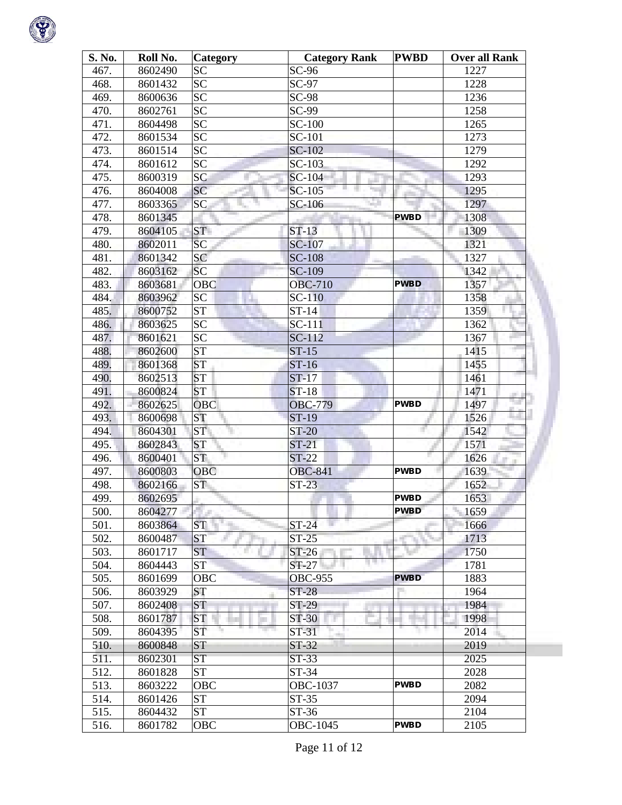

| S. No. | Roll No. | Category        | <b>Category Rank</b> | <b>PWBD</b> | <b>Over all Rank</b> |
|--------|----------|-----------------|----------------------|-------------|----------------------|
| 467.   | 8602490  | <b>SC</b>       | $SC-96$              |             | 1227                 |
| 468.   | 8601432  | <b>SC</b>       | $SC-97$              |             | 1228                 |
| 469.   | 8600636  | <b>SC</b>       | <b>SC-98</b>         |             | 1236                 |
| 470.   | 8602761  | $\overline{SC}$ | SC-99                |             | 1258                 |
| 471.   | 8604498  | SC              | <b>SC-100</b>        |             | 1265                 |
| 472.   | 8601534  | <b>SC</b>       | SC-101               |             | 1273                 |
| 473.   | 8601514  | <b>SC</b>       | SC-102               |             | 1279                 |
| 474.   | 8601612  | <b>SC</b>       | SC-103               |             | 1292                 |
| 475.   | 8600319  | SC              | SC-104               |             | 1293                 |
| 476.   | 8604008  | SC              | SC-105               |             | 1295                 |
| 477.   | 8603365  | <b>SC</b>       | SC-106               |             | 1297                 |
| 478.   | 8601345  |                 |                      | <b>PWBD</b> | 1308                 |
| 479.   | 8604105  | <b>ST</b>       | $ST-13$              |             | 1309                 |
| 480.   | 8602011  | SC              | <b>SC-107</b>        |             | 1321                 |
| 481.   | 8601342  | SC              | <b>SC-108</b>        |             | 1327                 |
| 482.   | 8603162  | <b>SC</b>       | SC-109               |             | 1342                 |
| 483.   | 8603681  | <b>OBC</b>      | <b>OBC-710</b>       | <b>PWBD</b> | 1357                 |
| 484.   | 8603962  | <b>SC</b>       | <b>SC-110</b>        |             | 1358                 |
| 485.   | 8600752  | <b>ST</b>       | $ST-14$              |             | 1359                 |
| 486.   | 8603625  | <b>SC</b>       | SC-111               |             | 1362                 |
| 487.   | 8601621  | <b>SC</b>       | SC-112               |             | 1367                 |
| 488.   | 8602600  | <b>ST</b>       | $ST-15$              |             | 1415                 |
| 489.   | 8601368  | <b>ST</b>       | $ST-16$              |             | 1455                 |
| 490.   | 8602513  | <b>ST</b>       | $ST-17$              |             | 1461                 |
| 491.   | 8600824  | <b>ST</b>       | $ST-18$              |             | 1471                 |
| 492.   | 8602625  | <b>OBC</b>      | <b>OBC-779</b>       | <b>PWBD</b> | m.<br>است<br>1497    |
| 493.   | 8600698  | <b>ST</b>       | <b>ST-19</b>         |             | 1526                 |
| 494.   | 8604301  | <b>ST</b>       | <b>ST-20</b>         |             | 1542                 |
| 495.   | 8602843  | <b>ST</b>       | $ST-21$              |             | 1571                 |
| 496.   | 8600401  | ST <sub>1</sub> | $ST-22$              |             | 1626                 |
| 497.   | 8600803  | <b>OBC</b>      | <b>OBC-841</b>       | <b>PWBD</b> | 1639                 |
| 498.   | 8602166  | <b>ST</b>       | $ST-23$              |             | 1652                 |
| 499.   | 8602695  |                 |                      | <b>PWBD</b> | 1653                 |
| 500.   | 8604277  |                 |                      | <b>PWBD</b> | 1659                 |
| 501.   | 8603864  | <b>ST</b>       | $ST-24$              |             | 1666                 |
| 502.   | 8600487  | <b>ST</b>       | $ST-25$              |             | 1713                 |
| 503.   | 8601717  | <b>ST</b>       | $ST-26$              |             | 1750                 |
| 504.   | 8604443  | <b>ST</b>       | $ST-27$              |             | 1781                 |
| 505.   | 8601699  | <b>OBC</b>      | <b>OBC-955</b>       | <b>PWBD</b> | 1883                 |
| 506.   | 8603929  | <b>ST</b>       | <b>ST-28</b>         |             | 1964                 |
| 507.   | 8602408  | <b>ST</b>       | $ST-29$              |             | 1984                 |
| 508.   | 8601787  | <b>ST</b>       | ST-30                |             | 1998                 |
| 509.   | 8604395  | <b>ST</b>       | ST-31                |             | 2014                 |
| 510.   | 8600848  | <b>ST</b>       | d.<br>$ST-32$        |             | 2019                 |
| 511.   |          | <b>ST</b>       | $ST-33$              |             | 2025                 |
|        | 8602301  | <b>ST</b>       |                      |             |                      |
| 512.   | 8601828  |                 | $ST-34$              | <b>PWBD</b> | 2028                 |
| 513.   | 8603222  | <b>OBC</b>      | OBC-1037             |             | 2082                 |
| 514.   | 8601426  | <b>ST</b>       | ST-35                |             | 2094                 |
| 515.   | 8604432  | <b>ST</b>       | $ST-36$              |             | 2104                 |
| 516.   | 8601782  | <b>OBC</b>      | OBC-1045             | <b>PWBD</b> | 2105                 |